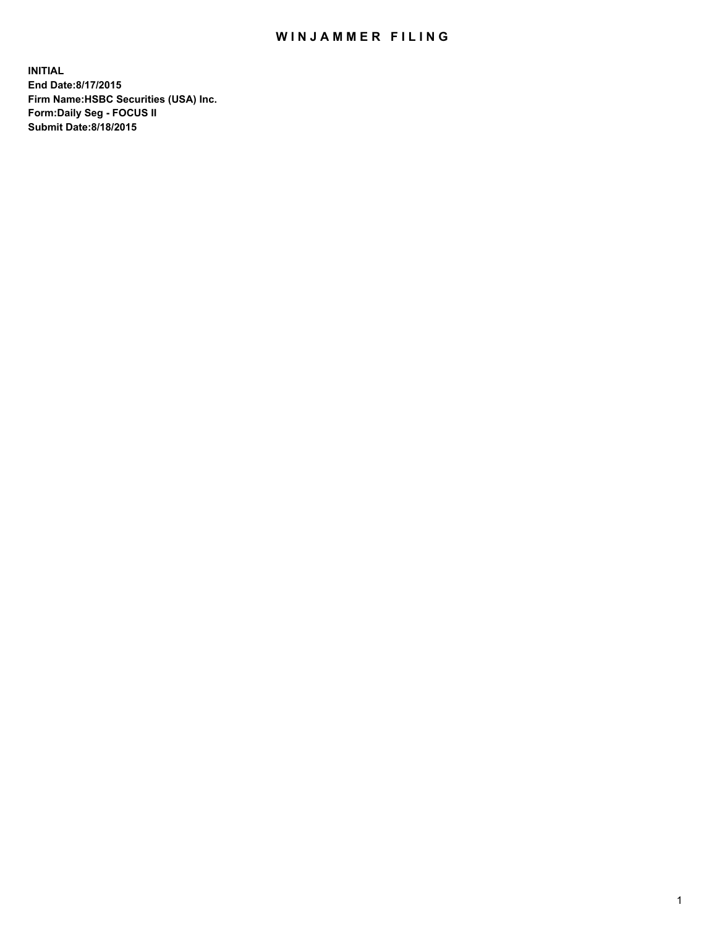## WIN JAMMER FILING

**INITIAL End Date:8/17/2015 Firm Name:HSBC Securities (USA) Inc. Form:Daily Seg - FOCUS II Submit Date:8/18/2015**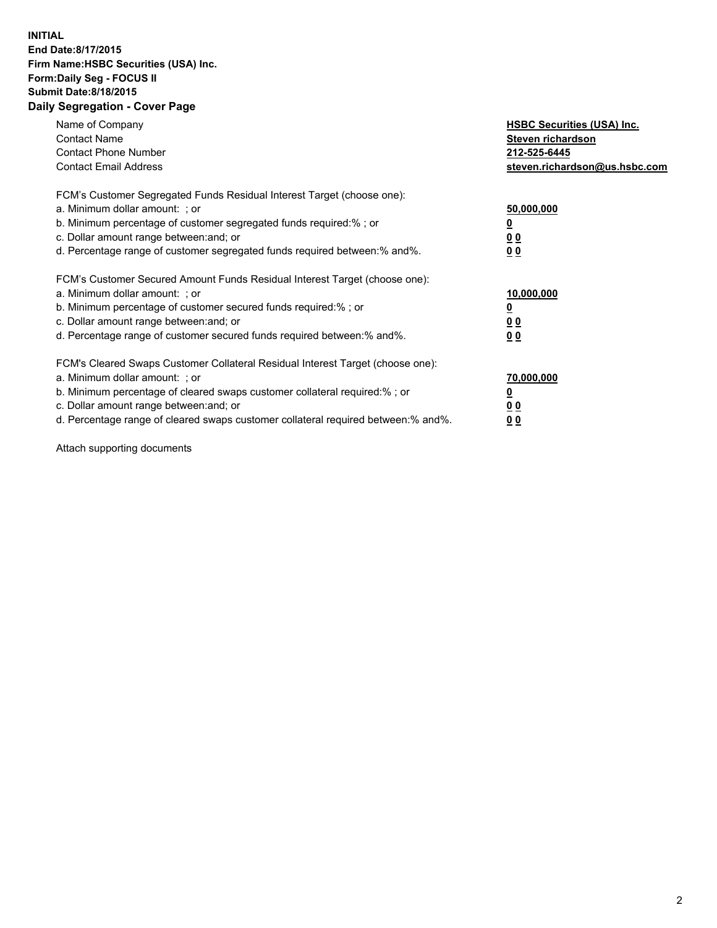## **INITIAL End Date:8/17/2015 Firm Name:HSBC Securities (USA) Inc. Form:Daily Seg - FOCUS II Submit Date:8/18/2015 Daily Segregation - Cover Page**

| Name of Company<br><b>Contact Name</b><br><b>Contact Phone Number</b><br><b>Contact Email Address</b>                                                                                                                                                                                                                         | <b>HSBC Securities (USA) Inc.</b><br>Steven richardson<br>212-525-6445<br>steven.richardson@us.hsbc.com |
|-------------------------------------------------------------------------------------------------------------------------------------------------------------------------------------------------------------------------------------------------------------------------------------------------------------------------------|---------------------------------------------------------------------------------------------------------|
| FCM's Customer Segregated Funds Residual Interest Target (choose one):<br>a. Minimum dollar amount: ; or<br>b. Minimum percentage of customer segregated funds required:%; or<br>c. Dollar amount range between: and; or<br>d. Percentage range of customer segregated funds required between:% and%.                         | 50,000,000<br>00<br>0 <sub>0</sub>                                                                      |
| FCM's Customer Secured Amount Funds Residual Interest Target (choose one):<br>a. Minimum dollar amount: ; or<br>b. Minimum percentage of customer secured funds required:%; or<br>c. Dollar amount range between: and; or<br>d. Percentage range of customer secured funds required between:% and%.                           | 10,000,000<br>0 <sub>0</sub><br>00                                                                      |
| FCM's Cleared Swaps Customer Collateral Residual Interest Target (choose one):<br>a. Minimum dollar amount: ; or<br>b. Minimum percentage of cleared swaps customer collateral required:%; or<br>c. Dollar amount range between: and; or<br>d. Percentage range of cleared swaps customer collateral required between:% and%. | 70,000,000<br><u>00</u><br><u>00</u>                                                                    |

Attach supporting documents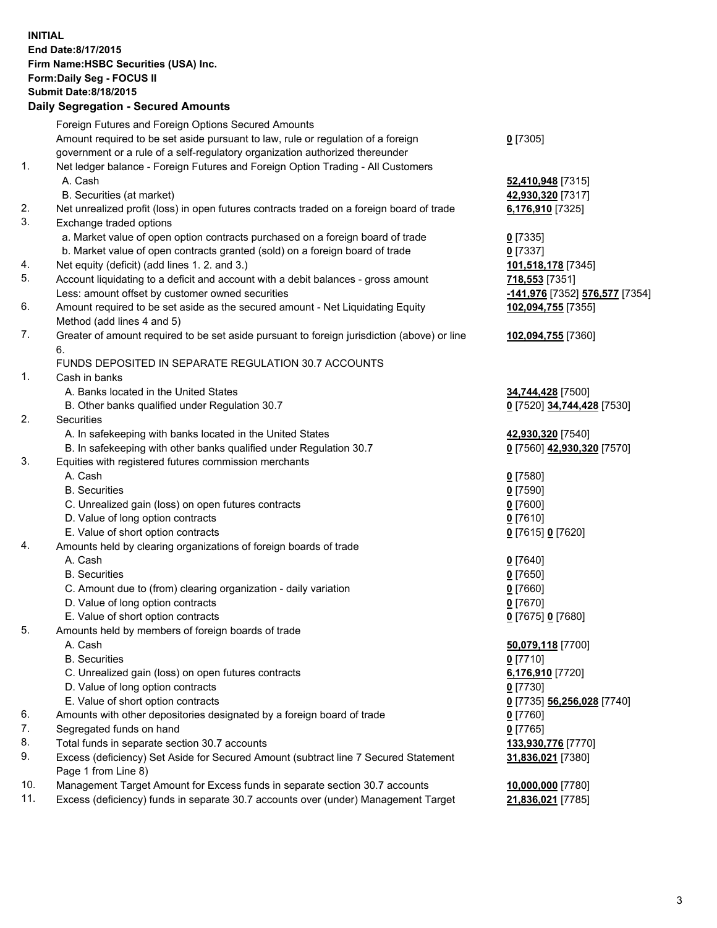**INITIAL End Date:8/17/2015 Firm Name:HSBC Securities (USA) Inc. Form:Daily Seg - FOCUS II Submit Date:8/18/2015 Daily Segregation - Secured Amounts**

Foreign Futures and Foreign Options Secured Amounts Amount required to be set aside pursuant to law, rule or regulation of a foreign government or a rule of a self-regulatory organization authorized thereunder **0** [7305] 1. Net ledger balance - Foreign Futures and Foreign Option Trading - All Customers A. Cash **52,410,948** [7315] B. Securities (at market) **42,930,320** [7317] 2. Net unrealized profit (loss) in open futures contracts traded on a foreign board of trade **6,176,910** [7325] 3. Exchange traded options a. Market value of open option contracts purchased on a foreign board of trade **0** [7335] b. Market value of open contracts granted (sold) on a foreign board of trade **0** [7337] 4. Net equity (deficit) (add lines 1. 2. and 3.) **101,518,178** [7345] 5. Account liquidating to a deficit and account with a debit balances - gross amount **718,553** [7351] Less: amount offset by customer owned securities **-141,976** [7352] **576,577** [7354] 6. Amount required to be set aside as the secured amount - Net Liquidating Equity Method (add lines 4 and 5) **102,094,755** [7355] 7. Greater of amount required to be set aside pursuant to foreign jurisdiction (above) or line 6. **102,094,755** [7360] FUNDS DEPOSITED IN SEPARATE REGULATION 30.7 ACCOUNTS 1. Cash in banks A. Banks located in the United States **34,744,428** [7500] B. Other banks qualified under Regulation 30.7 **0** [7520] **34,744,428** [7530] 2. Securities A. In safekeeping with banks located in the United States **42,930,320** [7540] B. In safekeeping with other banks qualified under Regulation 30.7 **0** [7560] **42,930,320** [7570] 3. Equities with registered futures commission merchants A. Cash **0** [7580] B. Securities **0** [7590] C. Unrealized gain (loss) on open futures contracts **0** [7600] D. Value of long option contracts **0** [7610] E. Value of short option contracts **0** [7615] **0** [7620] 4. Amounts held by clearing organizations of foreign boards of trade A. Cash **0** [7640] B. Securities **0** [7650] C. Amount due to (from) clearing organization - daily variation **0** [7660] D. Value of long option contracts **0** [7670] E. Value of short option contracts **0** [7675] **0** [7680] 5. Amounts held by members of foreign boards of trade A. Cash **50,079,118** [7700] B. Securities **0** [7710] C. Unrealized gain (loss) on open futures contracts **6,176,910** [7720] D. Value of long option contracts **0** [7730] E. Value of short option contracts **0** [7735] **56,256,028** [7740] 6. Amounts with other depositories designated by a foreign board of trade **0** [7760] 7. Segregated funds on hand **0** [7765] 8. Total funds in separate section 30.7 accounts **133,930,776** [7770] 9. Excess (deficiency) Set Aside for Secured Amount (subtract line 7 Secured Statement Page 1 from Line 8) **31,836,021** [7380] 10. Management Target Amount for Excess funds in separate section 30.7 accounts **10,000,000** [7780] 11. Excess (deficiency) funds in separate 30.7 accounts over (under) Management Target **21,836,021** [7785]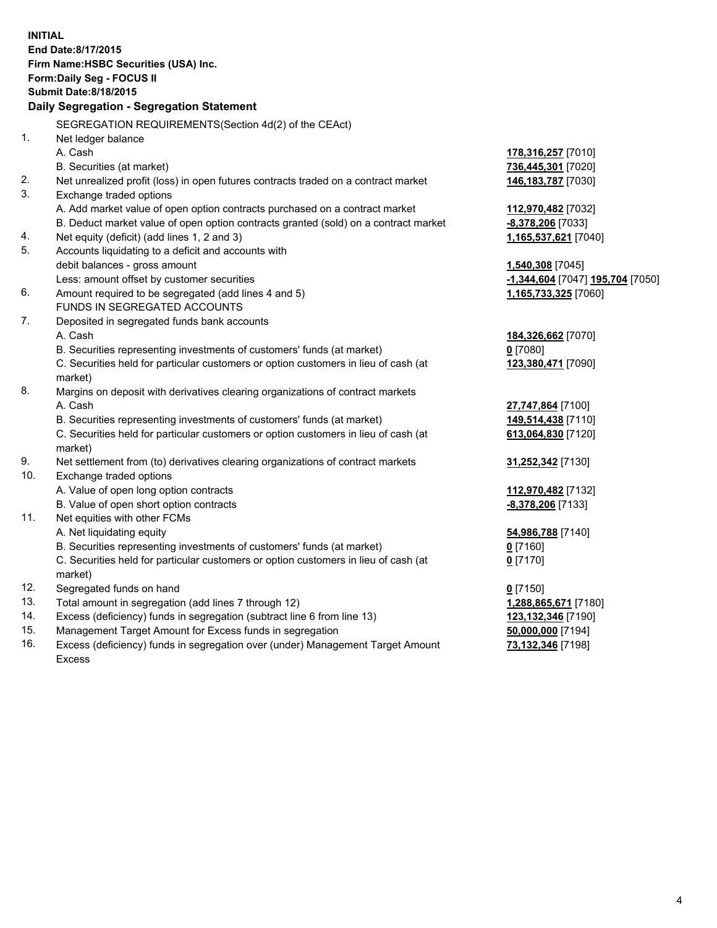| <b>INITIAL</b> | End Date:8/17/2015<br>Firm Name: HSBC Securities (USA) Inc.<br>Form: Daily Seg - FOCUS II<br><b>Submit Date: 8/18/2015</b><br>Daily Segregation - Segregation Statement |                                                          |
|----------------|-------------------------------------------------------------------------------------------------------------------------------------------------------------------------|----------------------------------------------------------|
|                | SEGREGATION REQUIREMENTS(Section 4d(2) of the CEAct)                                                                                                                    |                                                          |
| 1.             | Net ledger balance                                                                                                                                                      |                                                          |
|                | A. Cash                                                                                                                                                                 | 178,316,257 [7010]                                       |
|                | B. Securities (at market)                                                                                                                                               | 736,445,301 [7020]                                       |
| 2.             | Net unrealized profit (loss) in open futures contracts traded on a contract market                                                                                      | 146, 183, 787 [7030]                                     |
| 3.             | Exchange traded options                                                                                                                                                 |                                                          |
|                | A. Add market value of open option contracts purchased on a contract market                                                                                             | 112,970,482 [7032]                                       |
|                | B. Deduct market value of open option contracts granted (sold) on a contract market                                                                                     | -8,378,206 [7033]                                        |
| 4.             | Net equity (deficit) (add lines 1, 2 and 3)                                                                                                                             | 1,165,537,621 [7040]                                     |
| 5.             | Accounts liquidating to a deficit and accounts with                                                                                                                     |                                                          |
|                | debit balances - gross amount                                                                                                                                           | 1,540,308 [7045]                                         |
| 6.             | Less: amount offset by customer securities<br>Amount required to be segregated (add lines 4 and 5)                                                                      | -1,344,604 [7047] 195,704 [7050]<br>1,165,733,325 [7060] |
|                | FUNDS IN SEGREGATED ACCOUNTS                                                                                                                                            |                                                          |
| 7.             | Deposited in segregated funds bank accounts                                                                                                                             |                                                          |
|                | A. Cash                                                                                                                                                                 | 184,326,662 [7070]                                       |
|                | B. Securities representing investments of customers' funds (at market)                                                                                                  | $0$ [7080]                                               |
|                | C. Securities held for particular customers or option customers in lieu of cash (at                                                                                     | 123,380,471 [7090]                                       |
|                | market)                                                                                                                                                                 |                                                          |
| 8.             | Margins on deposit with derivatives clearing organizations of contract markets                                                                                          |                                                          |
|                | A. Cash                                                                                                                                                                 | 27,747,864 [7100]                                        |
|                | B. Securities representing investments of customers' funds (at market)                                                                                                  | 149,514,438 [7110]                                       |
|                | C. Securities held for particular customers or option customers in lieu of cash (at                                                                                     | 613,064,830 [7120]                                       |
|                | market)                                                                                                                                                                 |                                                          |
| 9.             | Net settlement from (to) derivatives clearing organizations of contract markets                                                                                         | 31,252,342 [7130]                                        |
| 10.            | Exchange traded options                                                                                                                                                 |                                                          |
|                | A. Value of open long option contracts                                                                                                                                  | 112,970,482 [7132]                                       |
|                | B. Value of open short option contracts                                                                                                                                 | -8,378,206 [7133]                                        |
| 11.            | Net equities with other FCMs                                                                                                                                            |                                                          |
|                | A. Net liquidating equity                                                                                                                                               | 54,986,788 [7140]                                        |
|                | B. Securities representing investments of customers' funds (at market)                                                                                                  | 0 [7160]                                                 |
|                | C. Securities held for particular customers or option customers in lieu of cash (at                                                                                     | $0$ [7170]                                               |
|                | market)                                                                                                                                                                 |                                                          |
| 12.            | Segregated funds on hand                                                                                                                                                | $0$ [7150]                                               |
| 13.            | Total amount in segregation (add lines 7 through 12)                                                                                                                    | 1,288,865,671 [7180]                                     |
| 14.            | Excess (deficiency) funds in segregation (subtract line 6 from line 13)                                                                                                 | 123,132,346 [7190]                                       |
| 15.            | Management Target Amount for Excess funds in segregation                                                                                                                | 50,000,000 [7194]                                        |

16. Excess (deficiency) funds in segregation over (under) Management Target Amount Excess

**73,132,346** [7198]